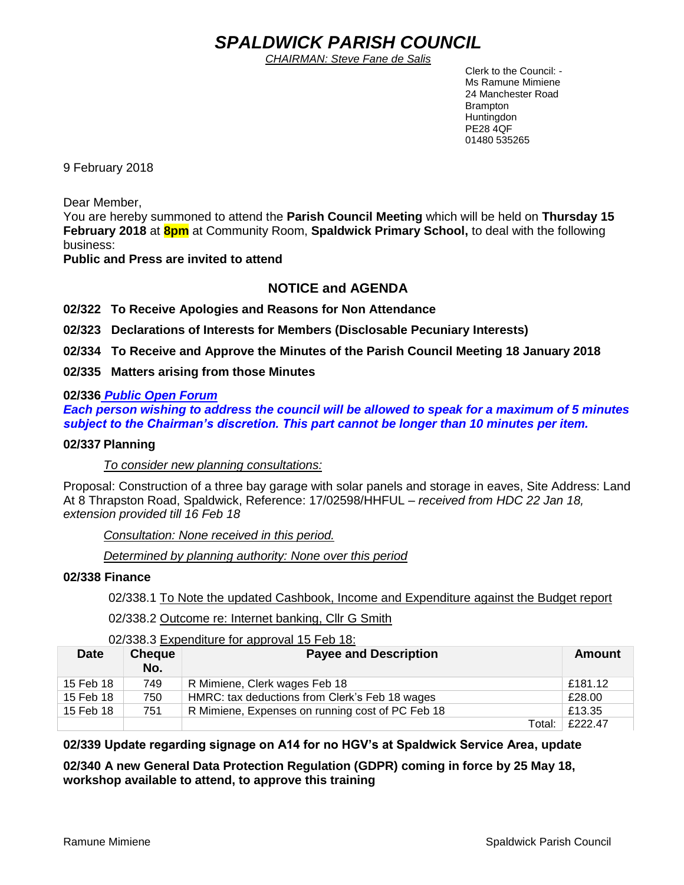# *SPALDWICK PARISH COUNCIL*

*CHAIRMAN: Steve Fane de Salis*

 Clerk to the Council: - Ms Ramune Mimiene 24 Manchester Road Brampton **Huntingdon** PE28 4QF 01480 535265

9 February 2018

Dear Member,

You are hereby summoned to attend the **Parish Council Meeting** which will be held on **Thursday 15 February 2018** at **8pm** at Community Room, **Spaldwick Primary School,** to deal with the following business:

**Public and Press are invited to attend**

## **NOTICE and AGENDA**

**02/322 To Receive Apologies and Reasons for Non Attendance**

**02/323 Declarations of Interests for Members (Disclosable Pecuniary Interests)**

**02/334 To Receive and Approve the Minutes of the Parish Council Meeting 18 January 2018**

**02/335 Matters arising from those Minutes**

## **02/336** *Public Open Forum*

*Each person wishing to address the council will be allowed to speak for a maximum of 5 minutes subject to the Chairman's discretion. This part cannot be longer than 10 minutes per item.* 

## **02/337 Planning**

*To consider new planning consultations:* 

Proposal: Construction of a three bay garage with solar panels and storage in eaves, Site Address: Land At [8 Thrapston Road,](https://maps.google.com/?q=8+Thrapston+Road+Spaldwick&entry=gmail&source=g) Spaldwick, Reference: 17/02598/HHFUL – *received from HDC 22 Jan 18, extension provided till 16 Feb 18*

*Consultation: None received in this period.*

*Determined by planning authority: None over this period*

## **02/338 Finance**

02/338.1 To Note the updated Cashbook, Income and Expenditure against the Budget report

02/338.2 Outcome re: Internet banking, Cllr G Smith

02/338.3 Expenditure for approval 15 Feb 18:

| <b>Date</b> | <b>Cheque</b><br>No. | <b>Payee and Description</b>                     | Amount  |
|-------------|----------------------|--------------------------------------------------|---------|
| 15 Feb 18   | 749                  | R Mimiene, Clerk wages Feb 18                    | £181.12 |
| 15 Feb 18   | 750                  | HMRC: tax deductions from Clerk's Feb 18 wages   | £28.00  |
| 15 Feb 18   | 751                  | R Mimiene, Expenses on running cost of PC Feb 18 | £13.35  |
|             |                      | Total:                                           | £222.47 |

## **02/339 Update regarding signage on A14 for no HGV's at Spaldwick Service Area, update**

**02/340 A new General Data Protection Regulation (GDPR) coming in force by 25 May 18, workshop available to attend, to approve this training**